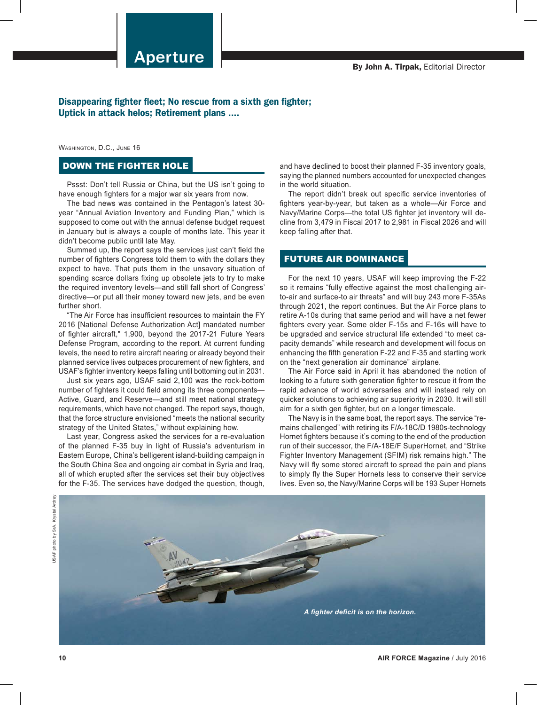## Disappearing fighter fleet; No rescue from a sixth gen fighter; Uptick in attack helos; Retirement plans ....

Washington, D.C., June 16

## DOWN THE FIGHTER HOLE

Pssst: Don't tell Russia or China, but the US isn't going to have enough fighters for a major war six years from now.

The bad news was contained in the Pentagon's latest 30 year "Annual Aviation Inventory and Funding Plan," which is supposed to come out with the annual defense budget request in January but is always a couple of months late. This year it didn't become public until late May.

Summed up, the report says the services just can't field the number of fighters Congress told them to with the dollars they expect to have. That puts them in the unsavory situation of spending scarce dollars fixing up obsolete jets to try to make the required inventory levels—and still fall short of Congress' directive—or put all their money toward new jets, and be even further short.

"The Air Force has insufficient resources to maintain the FY 2016 [National Defense Authorization Act] mandated number of fighter aircraft," 1,900, beyond the 2017-21 Future Years Defense Program, according to the report. At current funding levels, the need to retire aircraft nearing or already beyond their planned service lives outpaces procurement of new fighters, and USAF's fighter inventory keeps falling until bottoming out in 2031.

Just six years ago, USAF said 2,100 was the rock-bottom number of fighters it could field among its three components— Active, Guard, and Reserve—and still meet national strategy requirements, which have not changed. The report says, though, that the force structure envisioned "meets the national security strategy of the United States," without explaining how.

Last year, Congress asked the services for a re-evaluation of the planned F-35 buy in light of Russia's adventurism in Eastern Europe, China's belligerent island-building campaign in the South China Sea and ongoing air combat in Syria and Iraq, all of which erupted after the services set their buy objectives for the F-35. The services have dodged the question, though,

and have declined to boost their planned F-35 inventory goals, saying the planned numbers accounted for unexpected changes in the world situation.

The report didn't break out specific service inventories of fighters year-by-year, but taken as a whole—Air Force and Navy/Marine Corps—the total US fighter jet inventory will decline from 3,479 in Fiscal 2017 to 2,981 in Fiscal 2026 and will keep falling after that.

## FUTURE AIR DOMINANCE

For the next 10 years, USAF will keep improving the F-22 so it remains "fully effective against the most challenging airto-air and surface-to air threats" and will buy 243 more F-35As through 2021, the report continues. But the Air Force plans to retire A-10s during that same period and will have a net fewer fighters every year. Some older F-15s and F-16s will have to be upgraded and service structural life extended "to meet capacity demands" while research and development will focus on enhancing the fifth generation F-22 and F-35 and starting work on the "next generation air dominance" airplane.

The Air Force said in April it has abandoned the notion of looking to a future sixth generation fighter to rescue it from the rapid advance of world adversaries and will instead rely on quicker solutions to achieving air superiority in 2030. It will still aim for a sixth gen fighter, but on a longer timescale.

The Navy is in the same boat, the report says. The service "remains challenged" with retiring its F/A-18C/D 1980s-technology Hornet fighters because it's coming to the end of the production run of their successor, the F/A-18E/F SuperHornet, and "Strike Fighter Inventory Management (SFIM) risk remains high." The Navy will fly some stored aircraft to spread the pain and plans to simply fly the Super Hornets less to conserve their service lives. Even so, the Navy/Marine Corps will be 193 Super Hornets